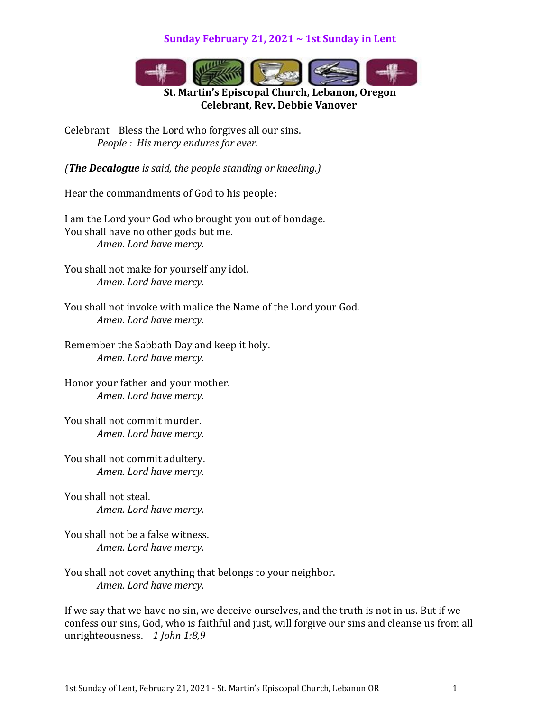# **Sunday February 21, 2021 ~ 1st Sunday in Lent**



#### **St. Martin's Episcopal Church, Lebanon, Oregon Celebrant, Rev. Debbie Vanover**

Celebrant Bless the Lord who forgives all our sins. *People : His mercy endures for ever.*

*(The Decalogue is said, the people standing or kneeling.)*

Hear the commandments of God to his people:

I am the Lord your God who brought you out of bondage. You shall have no other gods but me. *Amen. Lord have mercy.*

You shall not make for yourself any idol. *Amen. Lord have mercy.*

You shall not invoke with malice the Name of the Lord your God. *Amen. Lord have mercy.*

Remember the Sabbath Day and keep it holy. *Amen. Lord have mercy.*

Honor your father and your mother. *Amen. Lord have mercy.*

You shall not commit murder. *Amen. Lord have mercy.*

You shall not commit adultery. *Amen. Lord have mercy.*

You shall not steal. *Amen. Lord have mercy.*

You shall not be a false witness. *Amen. Lord have mercy.*

You shall not covet anything that belongs to your neighbor. *Amen. Lord have mercy.*

If we say that we have no sin, we deceive ourselves, and the truth is not in us. But if we confess our sins, God, who is faithful and just, will forgive our sins and cleanse us from all unrighteousness. *1 John 1:8,9*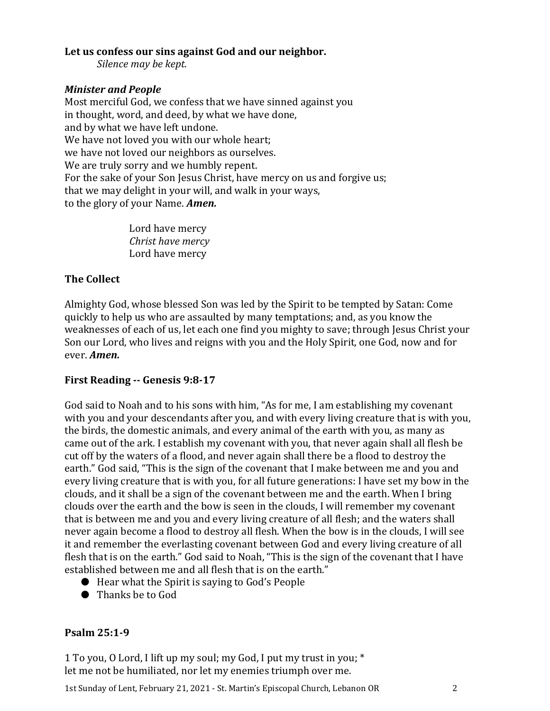#### **Let us confess our sins against God and our neighbor.**

*Silence may be kept.*

#### *Minister and People*

Most merciful God, we confess that we have sinned against you in thought, word, and deed, by what we have done, and by what we have left undone. We have not loved you with our whole heart; we have not loved our neighbors as ourselves. We are truly sorry and we humbly repent. For the sake of your Son Jesus Christ, have mercy on us and forgive us; that we may delight in your will, and walk in your ways, to the glory of your Name. *Amen.*

> Lord have mercy *Christ have mercy* Lord have mercy

### **The Collect**

Almighty God, whose blessed Son was led by the Spirit to be tempted by Satan: Come quickly to help us who are assaulted by many temptations; and, as you know the weaknesses of each of us, let each one find you mighty to save; through Jesus Christ your Son our Lord, who lives and reigns with you and the Holy Spirit, one God, now and for ever. *Amen.*

### **First Reading -- Genesis 9:8-17**

God said to Noah and to his sons with him, "As for me, I am establishing my covenant with you and your descendants after you, and with every living creature that is with you, the birds, the domestic animals, and every animal of the earth with you, as many as came out of the ark. I establish my covenant with you, that never again shall all flesh be cut off by the waters of a flood, and never again shall there be a flood to destroy the earth." God said, "This is the sign of the covenant that I make between me and you and every living creature that is with you, for all future generations: I have set my bow in the clouds, and it shall be a sign of the covenant between me and the earth. When I bring clouds over the earth and the bow is seen in the clouds, I will remember my covenant that is between me and you and every living creature of all flesh; and the waters shall never again become a flood to destroy all flesh. When the bow is in the clouds, I will see it and remember the everlasting covenant between God and every living creature of all flesh that is on the earth." God said to Noah, "This is the sign of the covenant that I have established between me and all flesh that is on the earth."

- Hear what the Spirit is saying to God's People
- Thanks be to God

### **Psalm 25:1-9**

1 To you, O Lord, I lift up my soul; my God, I put my trust in you; \* let me not be humiliated, nor let my enemies triumph over me.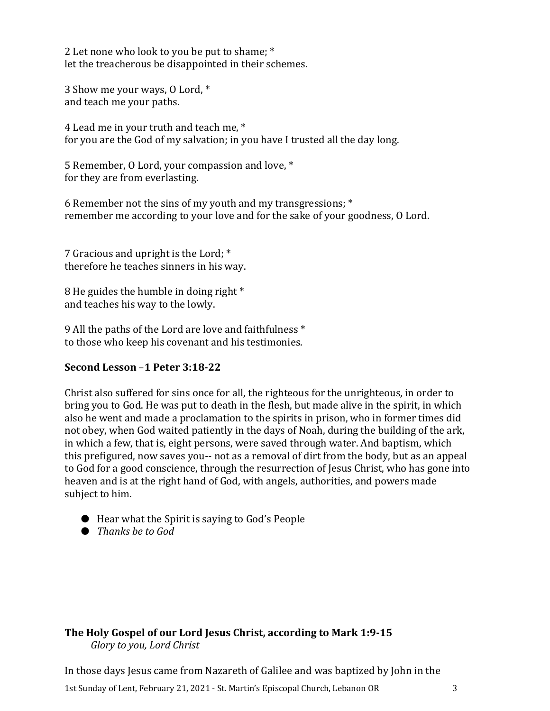2 Let none who look to you be put to shame; \* let the treacherous be disappointed in their schemes.

3 Show me your ways, O Lord, \* and teach me your paths.

4 Lead me in your truth and teach me, \* for you are the God of my salvation; in you have I trusted all the day long.

5 Remember, O Lord, your compassion and love, \* for they are from everlasting.

6 Remember not the sins of my youth and my transgressions; \* remember me according to your love and for the sake of your goodness, O Lord.

7 Gracious and upright is the Lord; \* therefore he teaches sinners in his way.

8 He guides the humble in doing right \* and teaches his way to the lowly.

9 All the paths of the Lord are love and faithfulness \* to those who keep his covenant and his testimonies.

# **Second Lesson** –**1 Peter 3:18-22**

Christ also suffered for sins once for all, the righteous for the unrighteous, in order to bring you to God. He was put to death in the flesh, but made alive in the spirit, in which also he went and made a proclamation to the spirits in prison, who in former times did not obey, when God waited patiently in the days of Noah, during the building of the ark, in which a few, that is, eight persons, were saved through water. And baptism, which this prefigured, now saves you-- not as a removal of dirt from the body, but as an appeal to God for a good conscience, through the resurrection of Jesus Christ, who has gone into heaven and is at the right hand of God, with angels, authorities, and powers made subject to him.

- Hear what the Spirit is saying to God's People
- *Thanks be to God*

# **The Holy Gospel of our Lord Jesus Christ, according to Mark 1:9-15**

*Glory to you, Lord Christ*

In those days Jesus came from Nazareth of Galilee and was baptized by John in the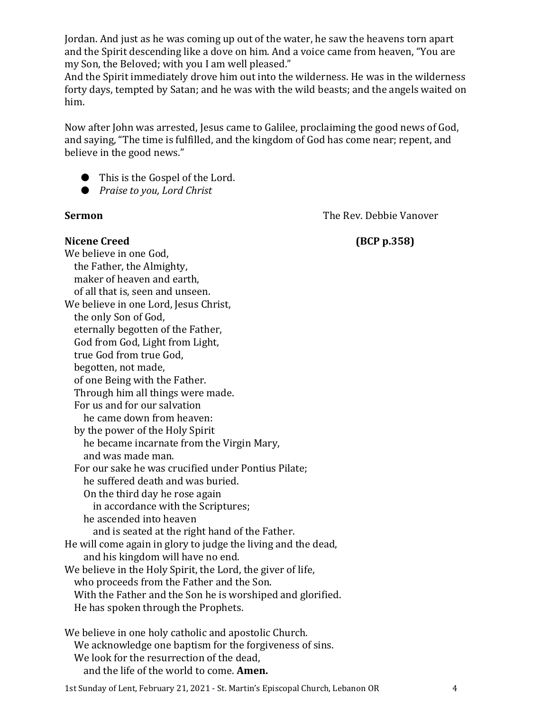Jordan. And just as he was coming up out of the water, he saw the heavens torn apart and the Spirit descending like a dove on him. And a voice came from heaven, "You are my Son, the Beloved; with you I am well pleased."

And the Spirit immediately drove him out into the wilderness. He was in the wilderness forty days, tempted by Satan; and he was with the wild beasts; and the angels waited on him.

Now after John was arrested, Jesus came to Galilee, proclaiming the good news of God, and saying, "The time is fulfilled, and the kingdom of God has come near; repent, and believe in the good news."

- This is the Gospel of the Lord.
- *Praise to you, Lord Christ*

**Sermon Sermon Sermon** *The Rev. Debbie Vanover* 

**Nicene Creed** (BCP p.358) We believe in one God, the Father, the Almighty, maker of heaven and earth, of all that is, seen and unseen. We believe in one Lord, Jesus Christ, the only Son of God, eternally begotten of the Father, God from God, Light from Light, true God from true God, begotten, not made, of one Being with the Father. Through him all things were made. For us and for our salvation he came down from heaven: by the power of the Holy Spirit he became incarnate from the Virgin Mary, and was made man. For our sake he was crucified under Pontius Pilate; he suffered death and was buried. On the third day he rose again in accordance with the Scriptures; he ascended into heaven and is seated at the right hand of the Father. He will come again in glory to judge the living and the dead, and his kingdom will have no end. We believe in the Holy Spirit, the Lord, the giver of life, who proceeds from the Father and the Son. With the Father and the Son he is worshiped and glorified. He has spoken through the Prophets. We believe in one holy catholic and apostolic Church.

 We acknowledge one baptism for the forgiveness of sins. We look for the resurrection of the dead. and the life of the world to come. **Amen.**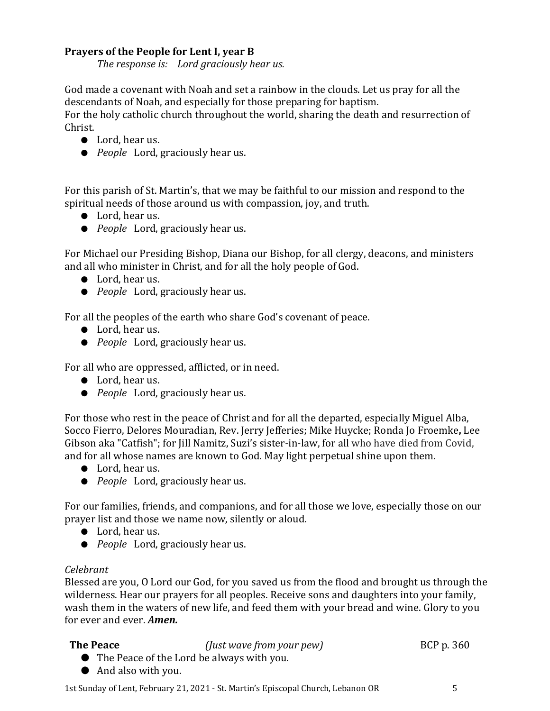# **Prayers of the People for Lent I, year B**

*The response is: Lord graciously hear us.*

God made a covenant with Noah and set a rainbow in the clouds. Let us pray for all the descendants of Noah, and especially for those preparing for baptism. For the holy catholic church throughout the world, sharing the death and resurrection of Christ.

- Lord, hear us.
- *People* Lord, graciously hear us.

For this parish of St. Martin's, that we may be faithful to our mission and respond to the spiritual needs of those around us with compassion, joy, and truth.

- Lord, hear us.
- *People* Lord, graciously hear us.

For Michael our Presiding Bishop, Diana our Bishop, for all clergy, deacons, and ministers and all who minister in Christ, and for all the holy people of God.

- Lord, hear us.
- *People* Lord, graciously hear us.

For all the peoples of the earth who share God's covenant of peace.

- Lord, hear us.
- *People* Lord, graciously hear us.

For all who are oppressed, afflicted, or in need.

- Lord, hear us.
- *People* Lord, graciously hear us.

For those who rest in the peace of Christ and for all the departed, especially Miguel Alba, Socco Fierro, Delores Mouradian, Rev. Jerry Jefferies; Mike Huycke; Ronda Jo Froemke**,** Lee Gibson aka "Catfish"; for Jill Namitz, Suzi's sister-in-law, for all who have died from Covid, and for all whose names are known to God. May light perpetual shine upon them.

- Lord, hear us.
- *People* Lord, graciously hear us.

For our families, friends, and companions, and for all those we love, especially those on our prayer list and those we name now, silently or aloud.

- Lord, hear us.
- *People* Lord, graciously hear us.

### *Celebrant*

Blessed are you, O Lord our God, for you saved us from the flood and brought us through the wilderness. Hear our prayers for all peoples. Receive sons and daughters into your family, wash them in the waters of new life, and feed them with your bread and wine. Glory to you for ever and ever. *Amen.*

**The Peace** *(Just wave from your pew)* BCP p. 360

- The Peace of the Lord be always with you.
- And also with you.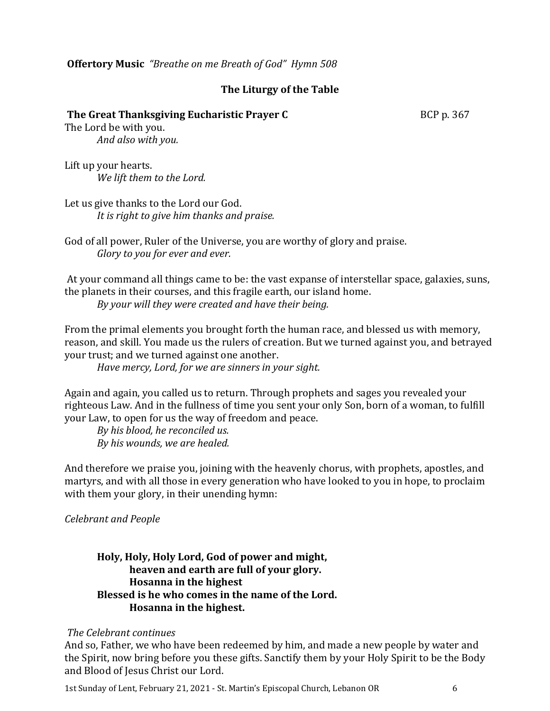**Offertory Music** *"Breathe on me Breath of God" Hymn 508*

# **The Liturgy of the Table**

# **The Great Thanksgiving Eucharistic Prayer C** BCP p. 367

The Lord be with you. *And also with you.*

Lift up your hearts. *We lift them to the Lord.*

Let us give thanks to the Lord our God. *It is right to give him thanks and praise.*

God of all power, Ruler of the Universe, you are worthy of glory and praise. *Glory to you for ever and ever.*

At your command all things came to be: the vast expanse of interstellar space, galaxies, suns, the planets in their courses, and this fragile earth, our island home. *By your will they were created and have their being.*

From the primal elements you brought forth the human race, and blessed us with memory, reason, and skill. You made us the rulers of creation. But we turned against you, and betrayed your trust; and we turned against one another.

*Have mercy, Lord, for we are sinners in your sight.*

Again and again, you called us to return. Through prophets and sages you revealed your righteous Law. And in the fullness of time you sent your only Son, born of a woman, to fulfill your Law, to open for us the way of freedom and peace.

*By his blood, he reconciled us. By his wounds, we are healed.*

And therefore we praise you, joining with the heavenly chorus, with prophets, apostles, and martyrs, and with all those in every generation who have looked to you in hope, to proclaim with them your glory, in their unending hymn:

*Celebrant and People*

# **Holy, Holy, Holy Lord, God of power and might, heaven and earth are full of your glory. Hosanna in the highest Blessed is he who comes in the name of the Lord. Hosanna in the highest.**

### *The Celebrant continues*

And so, Father, we who have been redeemed by him, and made a new people by water and the Spirit, now bring before you these gifts. Sanctify them by your Holy Spirit to be the Body and Blood of Jesus Christ our Lord.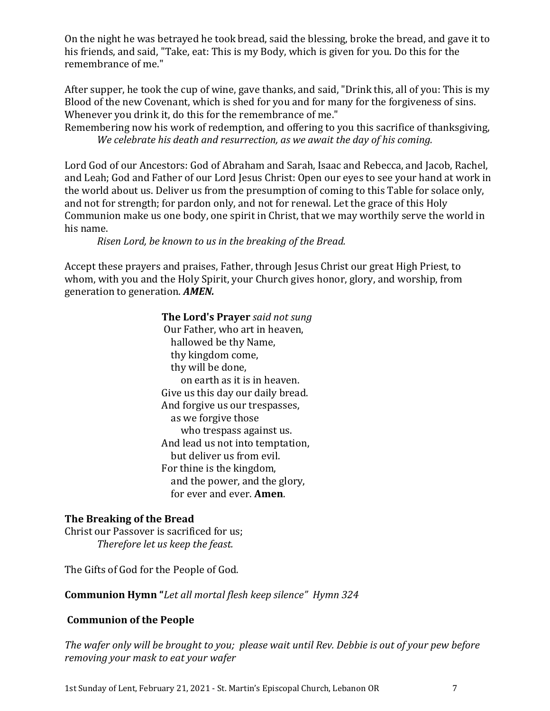On the night he was betrayed he took bread, said the blessing, broke the bread, and gave it to his friends, and said, "Take, eat: This is my Body, which is given for you. Do this for the remembrance of me."

After supper, he took the cup of wine, gave thanks, and said, "Drink this, all of you: This is my Blood of the new Covenant, which is shed for you and for many for the forgiveness of sins. Whenever you drink it, do this for the remembrance of me."

Remembering now his work of redemption, and offering to you this sacrifice of thanksgiving, *We celebrate his death and resurrection, as we await the day of his coming.*

Lord God of our Ancestors: God of Abraham and Sarah, Isaac and Rebecca, and Jacob, Rachel, and Leah; God and Father of our Lord Jesus Christ: Open our eyes to see your hand at work in the world about us. Deliver us from the presumption of coming to this Table for solace only, and not for strength; for pardon only, and not for renewal. Let the grace of this Holy Communion make us one body, one spirit in Christ, that we may worthily serve the world in his name.

#### *Risen Lord, be known to us in the breaking of the Bread.*

Accept these prayers and praises, Father, through Jesus Christ our great High Priest, to whom, with you and the Holy Spirit, your Church gives honor, glory, and worship, from generation to generation. *AMEN.*

#### **The Lord's Prayer** *said not sung*

Our Father, who art in heaven, hallowed be thy Name, thy kingdom come, thy will be done, on earth as it is in heaven. Give us this day our daily bread. And forgive us our trespasses, as we forgive those who trespass against us. And lead us not into temptation, but deliver us from evil. For thine is the kingdom, and the power, and the glory, for ever and ever. **Amen**.

#### **The Breaking of the Bread**

Christ our Passover is sacrificed for us; *Therefore let us keep the feast.* 

The Gifts of God for the People of God.

#### **Communion Hymn "***Let all mortal flesh keep silence" Hymn 324*

### **Communion of the People**

*The wafer only will be brought to you; please wait until Rev. Debbie is out of your pew before removing your mask to eat your wafer*